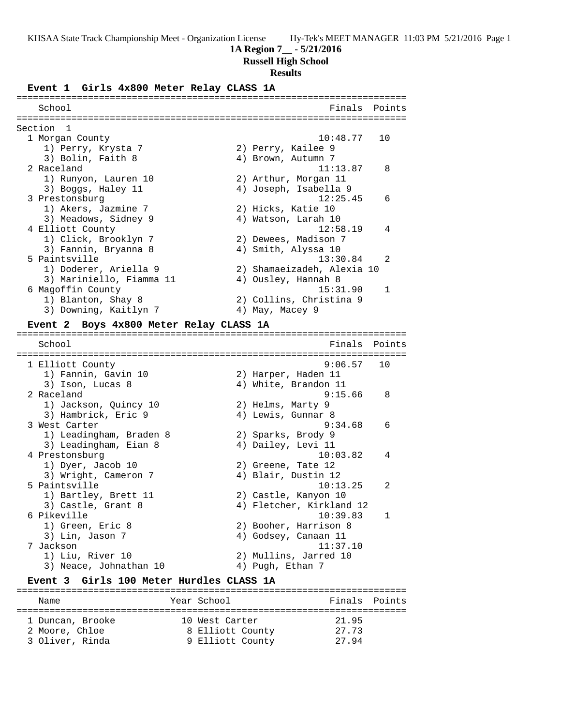## **1A Region 7\_\_ - 5/21/2016**

**Russell High School**

### **Results**

**Event 1 Girls 4x800 Meter Relay CLASS 1A**

| School                   | Finals<br>Points           |  |
|--------------------------|----------------------------|--|
| Section 1                |                            |  |
| 1 Morgan County          | 10:48.77<br>10             |  |
| 1) Perry, Krysta 7       | 2) Perry, Kailee 9         |  |
| 3) Bolin, Faith 8        | 4) Brown, Autumn 7         |  |
| 2 Raceland               | $\mathsf{B}$<br>11:13.87   |  |
| 1) Runyon, Lauren 10     | 2) Arthur, Morgan 11       |  |
| 3) Boggs, Haley 11       | 4) Joseph, Isabella 9      |  |
| 3 Prestonsburg           | 12:25.45<br>$\epsilon$     |  |
| 1) Akers, Jazmine 7      | 2) Hicks, Katie 10         |  |
| 3) Meadows, Sidney 9     | 4) Watson, Larah 10        |  |
| 4 Elliott County         | 12:58.19<br>4              |  |
| 1) Click, Brooklyn 7     | 2) Dewees, Madison 7       |  |
| 3) Fannin, Bryanna 8     | 4) Smith, Alyssa 10        |  |
| 5 Paintsville            | $\mathfrak{D}$<br>13:30.84 |  |
| 1) Doderer, Ariella 9    | 2) Shamaeizadeh, Alexia 10 |  |
| 3) Mariniello, Fiamma 11 | Ousley, Hannah 8<br>4)     |  |
| 6 Magoffin County        | 15:31.90<br>$\mathbf{1}$   |  |
| 1) Blanton, Shay 8       | 2) Collins, Christina 9    |  |
| 3) Downing, Kaitlyn 7    | 4) May, Macey 9            |  |

#### **Event 2 Boys 4x800 Meter Relay CLASS 1A**

======================================================================= Finals Points ======================================================================= 1 Elliott County 9:06.57 10 1) Fannin, Gavin 10 2) Harper, Haden 11 1) Fannin, Gavin 10 (2) Harper, Haden 11<br>3) Ison, Lucas 8 (4) White, Brandon 11<br>2 Raceland (9:15.66 (8) 2 Raceland 9:15.66 8 1) Jackson, Quincy 10 2) Helms, Marty 9 3) Hambrick, Eric 9 (4) Lewis, Gunnar 8 3 West Carter 9:34.68 6 1) Leadingham, Braden 8 2) Sparks, Brody 9 3) Leadingham, Eian 8 (4) Dailey, Levi 11 4 Prestonsburg 10:03.82 4 1) Dyer, Jacob 10 2) Greene, Tate 12 3) Wright, Cameron 7 (4) Blair, Dustin 12 5 Paintsville 10:13.25 2 1) Bartley, Brett 11  $\qquad \qquad$  2) Castle, Kanyon 10 3) Castle, Grant 8 4) Fletcher, Kirkland 12 6 Pikeville 10:39.83 1<br>1) Green, Eric 8 2) Booher, Harrison 8 1) Green, Eric 8 2) Booher, Harrison 8 3) Lin, Jason 7 (1988) 4) Godsey, Canaan 11 7 Jackson 11:37.10 1) Liu, River 10 2) Mullins, Jarred 10 3) Neace, Johnathan 10 (4) Pugh, Ethan 7

#### **Event 3 Girls 100 Meter Hurdles CLASS 1A** =======================================================================

| Name                              | Year School                          | Finals Points  |  |
|-----------------------------------|--------------------------------------|----------------|--|
| 1 Duncan, Brooke                  | 10 West Carter                       | 21.95          |  |
| 2 Moore, Chloe<br>3 Oliver, Rinda | 8 Elliott County<br>9 Elliott County | 27.73<br>27.94 |  |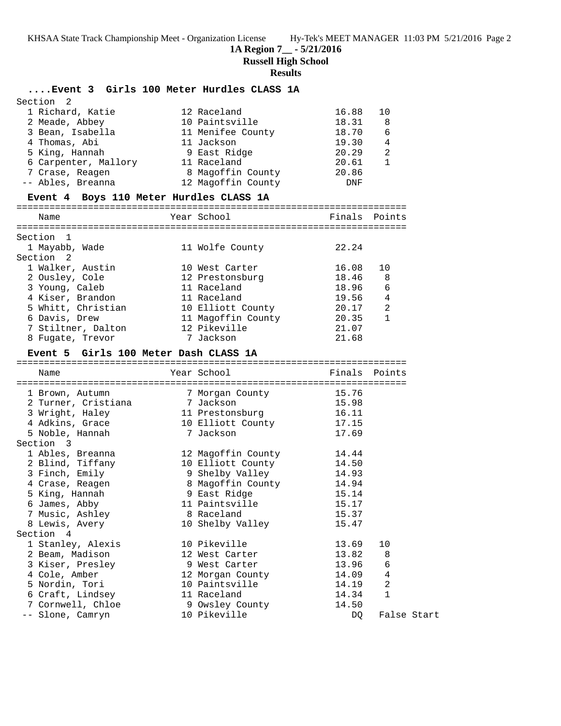**1A Region 7\_\_ - 5/21/2016**

**Russell High School**

## **Results**

# **....Event 3 Girls 100 Meter Hurdles CLASS 1A**

| Section <sub>2</sub> |                    |            |                |
|----------------------|--------------------|------------|----------------|
| 1 Richard, Katie     | 12 Raceland        | 16.88      | 10             |
| 2 Meade, Abbey       | 10 Paintsville     | 18.31      | 8              |
| 3 Bean, Isabella     | 11 Menifee County  | 18.70      | 6              |
| 4 Thomas, Abi        | 11 Jackson         | 19.30      | $\overline{4}$ |
| 5 King, Hannah       | 9 East Ridge       | 20.29      | 2              |
| 6 Carpenter, Mallory | 11 Raceland        | 20.61      |                |
| 7 Crase, Reagen      | 8 Magoffin County  | 20.86      |                |
| -- Ables, Breanna    | 12 Magoffin County | <b>DNF</b> |                |

# **Event 4 Boys 110 Meter Hurdles CLASS 1A**

=======================================================================

| Name               | Year School        | Finals Points |                |
|--------------------|--------------------|---------------|----------------|
|                    |                    |               |                |
| Section 1          |                    |               |                |
| 1 Mayabb, Wade     | 11 Wolfe County    | 22.24         |                |
| Section 2          |                    |               |                |
| 1 Walker, Austin   | 10 West Carter     | 16.08         | 10             |
| 2 Ousley, Cole     | 12 Prestonsburg    | 18.46         | 8              |
| 3 Young, Caleb     | 11 Raceland        | 18.96         | 6              |
| 4 Kiser, Brandon   | 11 Raceland        | 19.56         | 4              |
| 5 Whitt, Christian | 10 Elliott County  | 20.17         | $\mathfrak{D}$ |
| 6 Davis, Drew      | 11 Magoffin County | 20.35         | $\mathbf{1}$   |
| 7 Stiltner, Dalton | 12 Pikeville       | 21.07         |                |
| 8 Fugate, Trevor   | 7 Jackson          | 21.68         |                |
|                    |                    |               |                |

# **Event 5 Girls 100 Meter Dash CLASS 1A**

| Name                                                        | Year School                  | Finals Points |                |
|-------------------------------------------------------------|------------------------------|---------------|----------------|
|                                                             |                              |               |                |
| 1 Brown, Autumn                                             | 7 Morgan County              | 15.76         |                |
| 2 Turner, Cristiana 1 Jackson                               |                              | 15.98         |                |
| 3 Wright, Haley                                             | 11 Prestonsburg              | 16.11         |                |
| 4 Adkins, Grace                                             | 10 Elliott County            | 17.15         |                |
| 5 Noble, Hannah                                             | 7 Jackson                    | 17.69         |                |
| Section 3                                                   |                              |               |                |
| 1 Ables, Breanna                         12 Magoffin County |                              | 14.44         |                |
| 2 Blind, Tiffany                                            | 10 Elliott County            | 14.50         |                |
| 3 Finch, Emily                                              | 9 Shelby Valley              | 14.93         |                |
| 4 Crase, Reagen 8 Magoffin County                           |                              | 14.94         |                |
| 5 King, Hannah                                              | 9 East Ridge San State State | 15.14         |                |
| 6 James, Abby                                               | 11 Paintsville               | 15.17         |                |
| 7 Music, Ashley                                             | 8 Raceland                   | 15.37         |                |
| 8 Lewis, Avery                                              | 10 Shelby Valley             | 15.47         |                |
| Section 4                                                   |                              |               |                |
| 1 Stanley, Alexis                                           | 10 Pikeville                 | 13.69         | 10             |
| 2 Beam, Madison                                             | 12 West Carter               | 13.82         | 8              |
| 3 Kiser, Presley                                            | 9 West Carter                | 13.96         | 6              |
| 4 Cole, Amber                                               | 12 Morgan County             | 14.09         | $\overline{4}$ |
| 5 Nordin, Tori                                              | 10 Paintsville               | 14.19         | $\overline{2}$ |
| 6 Craft, Lindsey 11 Raceland                                |                              | 14.34         | $\mathbf{1}$   |
| 7 Cornwell, Chloe                                           | 9 Owsley County              | 14.50         |                |
| -- Slone, Camryn                                            | 10 Pikeville                 | DO            | False Start    |
|                                                             |                              |               |                |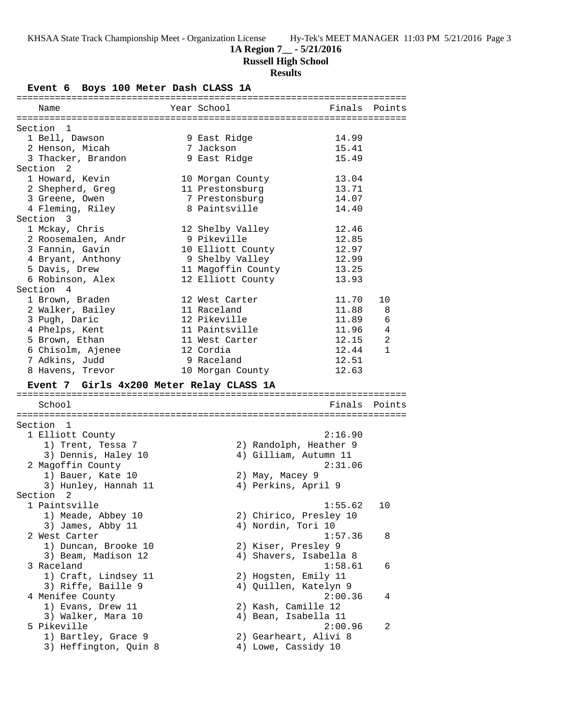## **1A Region 7\_\_ - 5/21/2016**

**Russell High School**

# **Results**

**Event 6 Boys 100 Meter Dash CLASS 1A**

| Name                                     | Year School <b>Sandware School</b> |         | Finals Points |
|------------------------------------------|------------------------------------|---------|---------------|
| Section 1                                |                                    |         |               |
| 1 Bell, Dawson                           | 9 East Ridge                       | 14.99   |               |
| 2 Henson, Micah                          | 7 Jackson                          | 15.41   |               |
| 3 Thacker, Brandon                       | 9 East Ridge                       | 15.49   |               |
| Section 2                                |                                    |         |               |
| 1 Howard, Kevin                          | 10 Morgan County                   | 13.04   |               |
| 2 Shepherd, Greg                         | 11 Prestonsburg                    | 13.71   |               |
| 3 Greene, Owen                           | 7 Prestonsburg                     | 14.07   |               |
| 4 Fleming, Riley                         | 8 Paintsville                      | 14.40   |               |
| Section 3                                |                                    |         |               |
| 1 Mckay, Chris                           | 12 Shelby Valley                   | 12.46   |               |
| 2 Roosemalen, Andr                       | 9 Pikeville                        | 12.85   |               |
| 3 Fannin, Gavin                          | 10 Elliott County                  | 12.97   |               |
| 4 Bryant, Anthony                        | 9 Shelby Valley                    | 12.99   |               |
| 5 Davis, Drew                            | 11 Magoffin County                 | 13.25   |               |
| 6 Robinson, Alex                         | 12 Elliott County                  | 13.93   |               |
| Section 4                                |                                    |         |               |
| 1 Brown, Braden                          | 12 West Carter                     | 11.70   | 10            |
| 2 Walker, Bailey                         | 11 Raceland                        | 11.88   | 8             |
| 3 Pugh, Daric                            | 12 Pikeville                       | 11.89   | 6             |
| 4 Phelps, Kent                           | 11 Paintsville                     | 11.96   | 4             |
| 5 Brown, Ethan                           | 11 West Carter                     | 12.15   | 2             |
| 6 Chisolm, Ajenee                        | 12 Cordia                          | 12.44   | $\mathbf{1}$  |
| 7 Adkins, Judd                           | 9 Raceland                         | 12.51   |               |
| 8 Havens, Trevor                         | 10 Morgan County                   | 12.63   |               |
| Event 7 Girls 4x200 Meter Relay CLASS 1A |                                    |         |               |
|                                          |                                    |         |               |
| School                                   |                                    |         |               |
|                                          |                                    |         | Finals Points |
|                                          |                                    |         |               |
| Section 1                                |                                    |         |               |
| 1 Elliott County                         |                                    | 2:16.90 |               |
| 1) Trent, Tessa 7                        | 2) Randolph, Heather 9             |         |               |
| 3) Dennis, Haley 10                      | 4) Gilliam, Autumn 11              |         |               |
| 2 Magoffin County                        |                                    | 2:31.06 |               |
| 1) Bauer, Kate 10                        | 2) May, Macey 9                    |         |               |
| 3) Hunley, Hannah 11                     | 4) Perkins, April 9                |         |               |
| Section <sub>2</sub>                     |                                    |         |               |
| 1 Paintsville                            |                                    | 1:55.62 | 10            |
| 1) Meade, Abbey 10                       | 2) Chirico, Presley 10             |         |               |
| 3) James, Abby 11                        | 4) Nordin, Tori 10                 |         |               |
| 2 West Carter                            |                                    | 1:57.36 | 8             |
| 1) Duncan, Brooke 10                     | 2) Kiser, Presley 9                |         |               |
| 3) Beam, Madison 12                      | 4) Shavers, Isabella 8             |         |               |
| 3 Raceland                               |                                    | 1:58.61 | 6             |
| 1) Craft, Lindsey 11                     | 2) Hogsten, Emily 11               |         |               |
| 3) Riffe, Baille 9                       | 4) Quillen, Katelyn 9              |         |               |
| 4 Menifee County                         |                                    | 2:00.36 | 4             |
| 1) Evans, Drew 11                        | 2) Kash, Camille 12                |         |               |
| 3) Walker, Mara 10                       | 4) Bean, Isabella 11               |         |               |
| 5 Pikeville                              |                                    | 2:00.96 | 2             |
| 1) Bartley, Grace 9                      | 2) Gearheart, Alivi 8              |         |               |
| 3) Heffington, Quin 8                    | 4) Lowe, Cassidy 10                |         |               |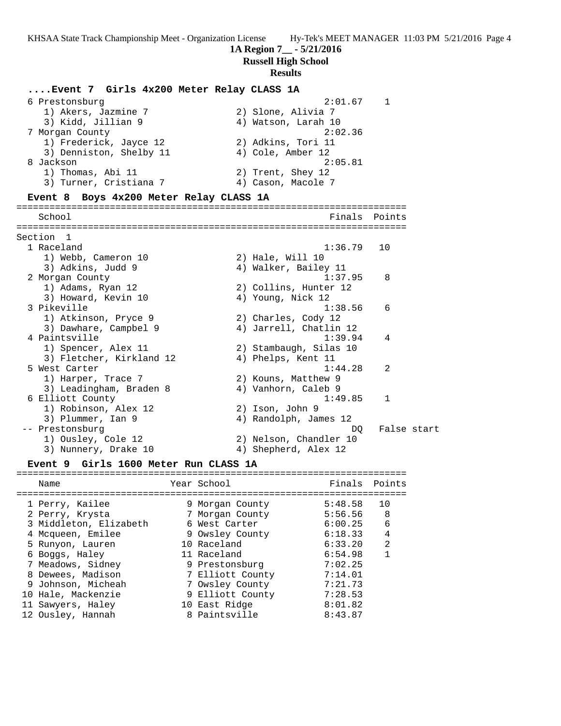**1A Region 7\_\_ - 5/21/2016**

**Russell High School**

#### **Results**

# **....Event 7 Girls 4x200 Meter Relay CLASS 1A** 6 Prestonsburg 2:01.67 1 1) Akers, Jazmine 7 2) Slone, Alivia 7 3) Kidd, Jillian 9  $\begin{array}{ccc} 4 & \text{Watson, Larah} & 10 \\ \end{array}$  7 Morgan County 2:02.36 1) Frederick, Jayce 12 2) Adkins, Tori 11 3) Denniston, Shelby 11 (4) Cole, Amber 12 8 Jackson 2:05.81 1) Thomas, Abi 11 2) Trent, Shey 12 3) Turner, Cristiana 7 (and 4) Cason, Macole 7 **Event 8 Boys 4x200 Meter Relay CLASS 1A** ======================================================================= School **Finals Points** ======================================================================= Section 1<br>1 Raceland 1 Raceland 1:36.79 10 1) Webb, Cameron 10 2) Hale, Will 10 3) Adkins, Judd 9 19 10 4) Walker, Bailey 11 2 Morgan County 1:37.95 8 1) Adams, Ryan 12 2) Collins, Hunter 12 3) Howard, Kevin 10 4) Young, Nick 12 3 Pikeville 1:38.56 6 1) Atkinson, Pryce 9 2) Charles, Cody 12 3) Dawhare, Campbel 9 4) Jarrell, Chatlin 12 4 Paintsville 1:39.94 4 1) Spencer, Alex 11 2) Stambaugh, Silas 10 3) Fletcher, Kirkland 12 (4) Phelps, Kent 11 5 West Carter 1:44.28 2 1) Harper, Trace 7 2) Kouns, Matthew 9 3) Leadingham, Braden 8 4) Vanhorn, Caleb 9 6 Elliott County 1:49.85 1 1) Robinson, Alex 12 2) Ison, John 9 3) Plummer, Ian 9 4) Randolph, James 12 -- Prestonsburg die eine start begin die eine verschieden die DQ False start 1) Ousley, Cole 12 2) Nelson, Chandler 10 3) Nunnery, Drake 10  $\hskip1cm \hskip1cm 4$ ) Shepherd, Alex 12

#### **Event 9 Girls 1600 Meter Run CLASS 1A** =======================================================================

| Name                   | Year School      | Finals Points |                |
|------------------------|------------------|---------------|----------------|
| 1 Perry, Kailee        | 9 Morgan County  | 5:48.58       | 10             |
| 2 Perry, Krysta        | 7 Morgan County  | 5:56.56       | 8              |
| 3 Middleton, Elizabeth | 6 West Carter    | 6:00.25       | 6              |
| 4 Mcqueen, Emilee      | 9 Owsley County  | 6:18.33       | 4              |
| 5 Runyon, Lauren       | 10 Raceland      | 6:33.20       | $\mathfrak{D}$ |
| 6 Boggs, Haley         | 11 Raceland      | 6:54.98       |                |
| 7 Meadows, Sidney      | 9 Prestonsburg   | 7:02.25       |                |
| 8 Dewees, Madison      | 7 Elliott County | 7:14.01       |                |
| 9 Johnson, Micheah     | 7 Owsley County  | 7:21.73       |                |
| 10 Hale, Mackenzie     | 9 Elliott County | 7:28.53       |                |
| 11 Sawyers, Haley      | 10 East Ridge    | 8:01.82       |                |
| 12 Ousley, Hannah      | 8 Paintsville    | 8:43.87       |                |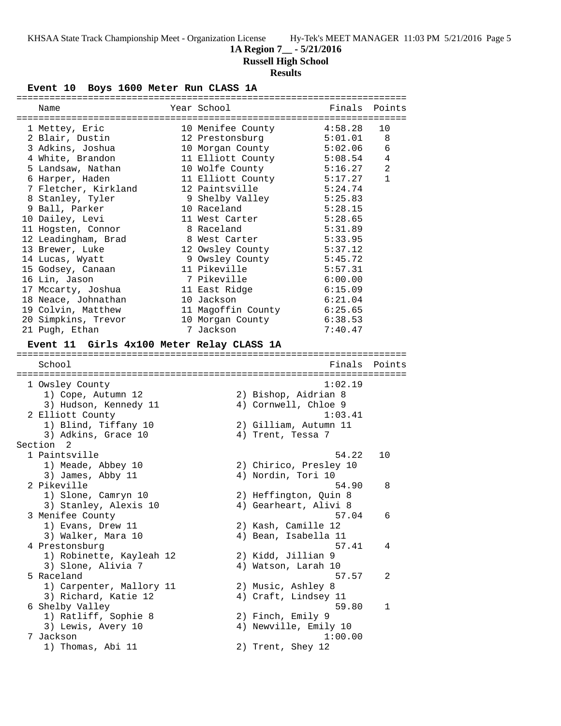**1A Region 7\_\_ - 5/21/2016**

**Russell High School**

# **Results**

**Event 10 Boys 1600 Meter Run CLASS 1A**

| Name                                      | Year School                |         | Finals Points |
|-------------------------------------------|----------------------------|---------|---------------|
|                                           |                            |         |               |
| 1 Mettey, Eric                            | 10 Menifee County          | 4:58.28 | 10            |
| 2 Blair, Dustin                           | 12 Prestonsburg            | 5:01.01 | 8             |
| 3 Adkins, Joshua                          | 10 Morgan County           | 5:02.06 | 6             |
| 4 White, Brandon                          | 11 Elliott County          | 5:08.54 | 4             |
| 5 Landsaw, Nathan                         | 10 Wolfe County            | 5:16.27 | 2             |
| 6 Harper, Haden                           | 11 Elliott County          | 5:17.27 | $\mathbf{1}$  |
| 7 Fletcher, Kirkland                      | 12 Paintsville             | 5:24.74 |               |
| 8 Stanley, Tyler                          | 9 Shelby Valley            | 5:25.83 |               |
| 9 Ball, Parker                            | 10 Raceland                | 5:28.15 |               |
| 10 Dailey, Levi                           | 11 West Carter             | 5:28.65 |               |
| 11 Hogsten, Connor                        | 8 Raceland                 | 5:31.89 |               |
| 12 Leadingham, Brad                       | 8 West Carter              | 5:33.95 |               |
| 13 Brewer, Luke                           | 12 Owsley County           | 5:37.12 |               |
| 14 Lucas, Wyatt                           | 9 Owsley County            | 5:45.72 |               |
| 15 Godsey, Canaan                         | 11 Pikeville               | 5:57.31 |               |
|                                           | 7 Pikeville                | 6:00.00 |               |
| 16 Lin, Jason                             |                            |         |               |
| 17 Mccarty, Joshua                        | 11 East Ridge              | 6:15.09 |               |
| 18 Neace, Johnathan                       | 10 Jackson                 | 6:21.04 |               |
| 19 Colvin, Matthew                        | 11 Magoffin County 6:25.65 |         |               |
| 20 Simpkins, Trevor                       | 10 Morgan County           | 6:38.53 |               |
| 21 Pugh, Ethan                            | 7 Jackson                  | 7:40.47 |               |
| Event 11 Girls 4x100 Meter Relay CLASS 1A |                            |         |               |
|                                           |                            |         |               |
| School                                    |                            | Finals  | Points        |
|                                           |                            |         |               |
| 1 Owsley County                           |                            | 1:02.19 |               |
| 1) Cope, Autumn 12                        | 2) Bishop, Aidrian 8       |         |               |
| 3) Hudson, Kennedy 11                     | 4) Cornwell, Chloe 9       |         |               |
| 2 Elliott County                          |                            | 1:03.41 |               |
|                                           |                            |         |               |
| 1) Blind, Tiffany 10                      | 2) Gilliam, Autumn 11      |         |               |
| 3) Adkins, Grace 10                       | 4) Trent, Tessa 7          |         |               |
| Section <sub>2</sub><br>1 Paintsville     |                            |         |               |
|                                           |                            | 54.22   | 10            |
| 1) Meade, Abbey 10                        | 2) Chirico, Presley 10     |         |               |
| 3) James, Abby 11                         | 4) Nordin, Tori 10         |         |               |
| 2 Pikeville                               |                            | 54.90   | 8             |
| 1) Slone, Camryn 10                       | 2) Heffington, Quin 8      |         |               |
| 3) Stanley, Alexis 10                     | 4) Gearheart, Alivi 8      |         |               |
| 3 Menifee County                          |                            | 57.04   | 6             |
| 1) Evans, Drew 11                         | 2) Kash, Camille 12        |         |               |
| 3) Walker, Mara 10                        | 4) Bean, Isabella 11       |         |               |
| 4 Prestonsburg                            |                            | 57.41   | 4             |
| 1) Robinette, Kayleah 12                  | 2) Kidd, Jillian 9         |         |               |
| 3) Slone, Alivia 7                        | 4) Watson, Larah 10        |         |               |
| 5 Raceland                                |                            | 57.57   | 2             |
| 1) Carpenter, Mallory 11                  | 2) Music, Ashley 8         |         |               |
| 3) Richard, Katie 12                      | 4) Craft, Lindsey 11       |         |               |
| 6 Shelby Valley                           |                            | 59.80   | 1             |
| 1) Ratliff, Sophie 8                      | 2) Finch, Emily 9          |         |               |
| 3) Lewis, Avery 10                        | 4) Newville, Emily 10      |         |               |
| 7 Jackson                                 |                            | 1:00.00 |               |
| 1) Thomas, Abi 11                         | 2) Trent, Shey 12          |         |               |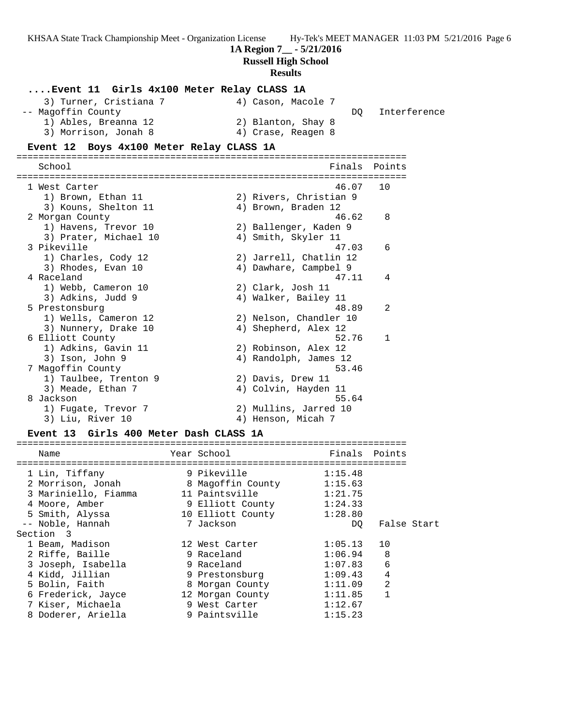|                                                                                                                                                                                       | 1A Region 7 <sub>__</sub> - 5/21/2016<br><b>Russell High School</b><br><b>Results</b>                                                     | KHSAA State Track Championship Meet - Organization License Hy-Tek's MEET MANAGER 11:03 PM 5/21/2016 Page 6 |
|---------------------------------------------------------------------------------------------------------------------------------------------------------------------------------------|-------------------------------------------------------------------------------------------------------------------------------------------|------------------------------------------------------------------------------------------------------------|
| Event 11 Girls 4x100 Meter Relay CLASS 1A<br>3) Turner, Cristiana 7<br>-- Magoffin County<br>1) Ables, Breanna 12<br>3) Morrison, Jonah 8<br>Event 12 Boys 4x100 Meter Relay CLASS 1A | 4) Cason, Macole 7<br>2) Blanton, Shay 8<br>4) Crase, Reagen 8                                                                            | Interference<br>DQ                                                                                         |
|                                                                                                                                                                                       |                                                                                                                                           |                                                                                                            |
| School                                                                                                                                                                                |                                                                                                                                           | Finals<br>Points                                                                                           |
| 1 West Carter<br>1) Brown, Ethan 11<br>3) Kouns, Shelton 11                                                                                                                           | 2) Rivers, Christian 9<br>4) Brown, Braden 12                                                                                             | 46.07<br>10                                                                                                |
| 2 Morgan County<br>1) Havens, Trevor 10                                                                                                                                               | 2) Ballenger, Kaden 9                                                                                                                     | 46.62<br>8                                                                                                 |
| 3) Prater, Michael 10<br>3 Pikeville<br>1) Charles, Cody 12<br>3) Rhodes, Evan 10                                                                                                     | 4) Smith, Skyler 11<br>2) Jarrell, Chatlin 12<br>4) Dawhare, Campbel 9                                                                    | 47.03<br>6                                                                                                 |
| 4 Raceland<br>1) Webb, Cameron 10<br>3) Adkins, Judd 9                                                                                                                                | 2) Clark, Josh 11<br>4) Walker, Bailey 11                                                                                                 | 47.11<br>4                                                                                                 |
| 5 Prestonsburg<br>1) Wells, Cameron 12<br>3) Nunnery, Drake 10                                                                                                                        | 2) Nelson, Chandler 10<br>4) Shepherd, Alex 12                                                                                            | 2<br>48.89                                                                                                 |
| 6 Elliott County<br>1) Adkins, Gavin 11<br>3) Ison, John 9<br>7 Magoffin County<br>1) Taulbee, Trenton 9<br>3) Meade, Ethan 7<br>8 Jackson<br>1) Fugate, Trevor 7<br>3) Liu, River 10 | 2) Robinson, Alex 12<br>4) Randolph, James 12<br>2) Davis, Drew 11<br>4) Colvin, Hayden 11<br>2) Mullins, Jarred 10<br>4) Henson, Micah 7 | 52.76<br>1<br>53.46<br>55.64                                                                               |
| Event 13 Girls 400 Meter Dash CLASS 1A                                                                                                                                                |                                                                                                                                           |                                                                                                            |
| Name                                                                                                                                                                                  | Year School                                                                                                                               | Finals<br>Points                                                                                           |
| 1 Lin, Tiffany<br>2 Morrison, Jonah<br>3 Mariniello, Fiamma<br>4 Moore, Amber<br>5 Smith, Alyssa                                                                                      | 9 Pikeville<br>8 Magoffin County<br>11 Paintsville<br>9 Elliott County<br>10 Elliott County                                               | 1:15.48<br>1:15.63<br>1:21.75<br>1:24.33<br>1:28.80                                                        |
| -- Noble, Hannah<br>Section 3<br>1 Beam, Madison                                                                                                                                      | 7 Jackson<br>12 West Carter                                                                                                               | False Start<br>DQ.<br>1:05.13<br>10                                                                        |
| 2 Riffe, Baille<br>3 Joseph, Isabella<br>4 Kidd, Jillian                                                                                                                              | 9 Raceland<br>9 Raceland<br>9 Prestonsburg                                                                                                | 1:06.94<br>8<br>6<br>1:07.83<br>4<br>1:09.43                                                               |

 5 Bolin, Faith 8 Morgan County 1:11.09 2 6 Frederick, Jayce 12 Morgan County 1:11.85 1 7 Kiser, Michaela 9 West Carter 1:12.67 8 Doderer, Ariella 9 Paintsville 1:15.23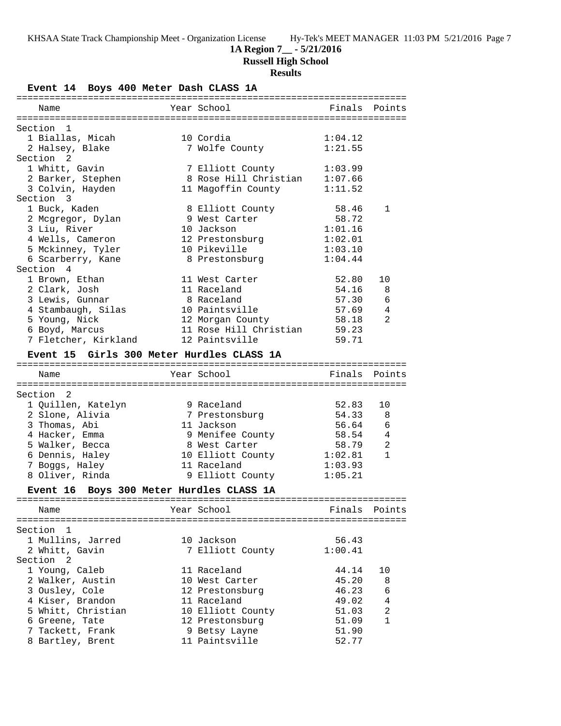## **1A Region 7\_\_ - 5/21/2016**

**Russell High School**

# **Results**

**Event 14 Boys 400 Meter Dash CLASS 1A**

| Name                 |                                                      | Year School                                       | Finals Points  |              |
|----------------------|------------------------------------------------------|---------------------------------------------------|----------------|--------------|
|                      |                                                      |                                                   |                |              |
| Section 1            |                                                      |                                                   |                |              |
|                      | 1 Biallas, Micah                                     | 10 Cordia                                         | 1:04.12        |              |
|                      | 2 Halsey, Blake                                      | 7 Wolfe County                                    | 1:21.55        |              |
| Section <sub>2</sub> |                                                      |                                                   |                |              |
|                      | 1 Whitt, Gavin                                       | 7 Elliott County<br>8 Rose Hill Christian 1:07.66 | 1:03.99        |              |
|                      | 2 Barker, Stephen                                    |                                                   |                |              |
|                      | 3 Colvin, Hayden                                     | 11 Magoffin County                                | 1:11.52        |              |
| Section 3            | 1 Buck, Kaden                                        |                                                   | 58.46          | 1            |
|                      | 2 Mcgregor, Dylan                                    | 8 Elliott County<br>9 West Carter                 | 58.72          |              |
|                      | 3 Liu, River                                         | 10 Jackson                                        | 1:01.16        |              |
|                      | 4 Wells, Cameron                                     | 12 Prestonsburg                                   | 1:02.01        |              |
|                      | 5 Mckinney, Tyler                                    | 10 Pikeville                                      | 1:03.10        |              |
|                      | 6 Scarberry, Kane                                    | 8 Prestonsburg                                    | 1:04.44        |              |
| Section 4            |                                                      |                                                   |                |              |
|                      | 1 Brown, Ethan                                       | 11 West Carter                                    | 52.80          | 10           |
|                      | 2 Clark, Josh                                        | 11 Raceland                                       | 54.16          | 8            |
|                      | 3 Lewis, Gunnar                                      | 8 Raceland                                        | 57.30          | 6            |
|                      |                                                      | 10 Paintsville                                    | 57.69          | 4            |
|                      | 4 Stambaugh, Silas<br>5 Young. Nick<br>5 Young, Nick | 12 Morgan County                                  | 58.18          | 2            |
|                      | 6 Boyd, Marcus                                       | 11 Rose Hill Christian 59.23                      |                |              |
|                      | 7 Fletcher, Kirkland                                 | 12 Paintsville                                    | 59.71          |              |
|                      |                                                      |                                                   |                |              |
|                      | Event 15 Girls 300 Meter Hurdles CLASS 1A            |                                                   |                |              |
|                      |                                                      | Year School                                       | Finals         | Points       |
| Name                 |                                                      |                                                   |                |              |
| Section 2            |                                                      |                                                   |                |              |
|                      | 1 Quillen, Katelyn                                   | 9 Raceland                                        | 52.83          | 10           |
|                      | 2 Slone, Alivia                                      | 7 Prestonsburg                                    | 54.33          | 8            |
|                      | 3 Thomas, Abi                                        | 11 Jackson                                        | 56.64          | 6            |
|                      | 4 Hacker, Emma                                       | 9 Menifee County                                  | 58.54          | 4            |
|                      | 5 Walker, Becca                                      | 8 West Carter                                     | 58.79          | 2            |
|                      | 6 Dennis, Haley                                      | 10 Elliott County                                 | 1:02.81        | $\mathbf{1}$ |
|                      | 7 Boggs, Haley                                       | 11 Raceland                                       | 1:03.93        |              |
|                      | 8 Oliver, Rinda                                      | 9 Elliott County                                  | 1:05.21        |              |
|                      |                                                      |                                                   |                |              |
|                      | Event 16 Boys 300 Meter Hurdles CLASS 1A             |                                                   |                |              |
|                      |                                                      |                                                   |                |              |
| Name                 |                                                      | Year School                                       | Finals         | Points       |
| Section 1            |                                                      |                                                   |                |              |
|                      |                                                      |                                                   |                |              |
|                      |                                                      |                                                   |                |              |
|                      | 1 Mullins, Jarred                                    | 10 Jackson                                        | 56.43          |              |
|                      | 2 Whitt, Gavin                                       | 7 Elliott County                                  | 1:00.41        |              |
| Section 2            |                                                      |                                                   |                |              |
|                      | 1 Young, Caleb                                       | 11 Raceland                                       | 44.14          | 10           |
|                      | 2 Walker, Austin                                     | 10 West Carter                                    | 45.20          | 8            |
|                      | 3 Ousley, Cole                                       | 12 Prestonsburg                                   | 46.23          | 6            |
|                      | 4 Kiser, Brandon                                     | 11 Raceland                                       | 49.02          | 4            |
|                      | 5 Whitt, Christian                                   | 10 Elliott County                                 | 51.03          | 2            |
|                      | 6 Greene, Tate                                       | 12 Prestonsburg                                   | 51.09          | 1            |
|                      | 7 Tackett, Frank<br>8 Bartley, Brent                 | 9 Betsy Layne<br>11 Paintsville                   | 51.90<br>52.77 |              |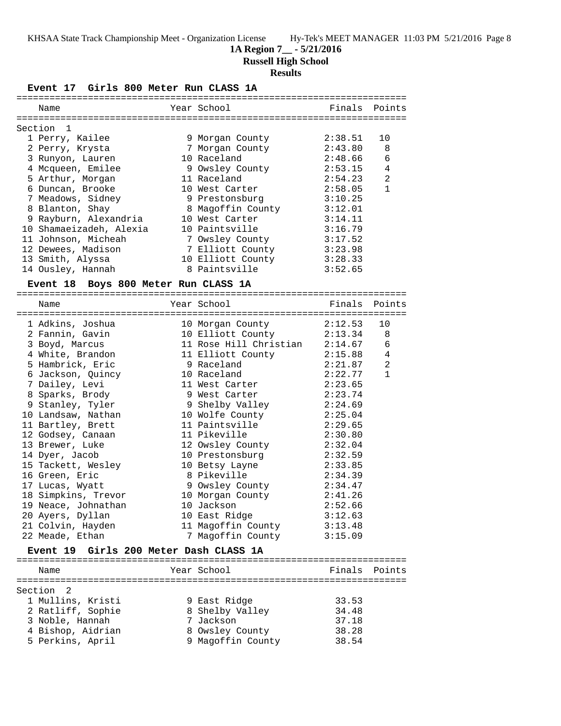**1A Region 7\_\_ - 5/21/2016**

**Russell High School**

## **Results**

**Event 17 Girls 800 Meter Run CLASS 1A** ======================================================================= Name The Year School Controll of Finals Points ======================================================================= Section 1 1 Perry, Kailee 9 Morgan County 2:38.51 10 2 Perry, Krysta 7 Morgan County 2:43.80 8 3 Runyon, Lauren 10 Raceland 2:48.66 6 4 Mcqueen, Emilee 9 Owsley County 2:53.15 4 5 Arthur, Morgan 11 Raceland 2:54.23 2 6 Duncan, Brooke 10 West Carter 2:58.05 1 7 Meadows, Sidney 9 Prestonsburg 3:10.25 8 Blanton, Shay 8 Magoffin County 3:12.01 9 Rayburn, Alexandria 10 West Carter 3:14.11 10 Shamaeizadeh, Alexia 10 Paintsville 3:16.79 11 Johnson, Micheah 7 Owsley County 3:17.52 12 Dewees, Madison 7 Elliott County 3:23.98 13 Smith, Alyssa 10 Elliott County 3:28.33 14 Ousley, Hannah 8 Paintsville 3:52.65 **Event 18 Boys 800 Meter Run CLASS 1A** ======================================================================= Name The Year School The Finals Points ======================================================================= 1 Adkins, Joshua 10 Morgan County 2:12.53 10 2 Fannin, Gavin 10 Elliott County 2:13.34 8 3 Boyd, Marcus 11 Rose Hill Christian 2:14.67 6 4 White, Brandon 11 Elliott County 2:15.88 4 5 Hambrick, Eric 9 Raceland 2:21.87 2 6 Jackson, Quincy 10 Raceland 2:22.77 1 7 Dailey, Levi 11 West Carter 2:23.65 8 Sparks, Brody 9 West Carter 2:23.74 9 Stanley, Tyler 9 Shelby Valley 2:24.69 10 Landsaw, Nathan 10 Wolfe County 2:25.04 11 Bartley, Brett 11 Paintsville 2:29.65 12 Godsey, Canaan 11 Pikeville 2:30.80 13 Brewer, Luke 12 Owsley County 2:32.04 14 Dyer, Jacob 10 Prestonsburg 2:32.59 15 Tackett, Wesley 10 Betsy Layne 2:33.85 16 Green, Eric 8 Pikeville 2:34.39 17 Lucas, Wyatt 9 Owsley County 2:34.47 18 Simpkins, Trevor 10 Morgan County 2:41.26 19 Neace, Johnathan 10 Jackson 2:52.66 20 Ayers, Dyllan 10 East Ridge 3:12.63 21 Colvin, Hayden 11 Magoffin County 3:13.48 22 Meade, Ethan 7 Magoffin County 3:15.09 **Event 19 Girls 200 Meter Dash CLASS 1A** ======================================================================= Year School **Finals** Points ======================================================================= Section 2 1 Mullins, Kristi 9 East Ridge 33.53 2 Ratliff, Sophie 8 Shelby Valley 34.48 3 Noble, Hannah 7 Jackson 37.18 4 Bishop, Aidrian 8 Owsley County 38.28 5 Perkins, April 9 Magoffin County 38.54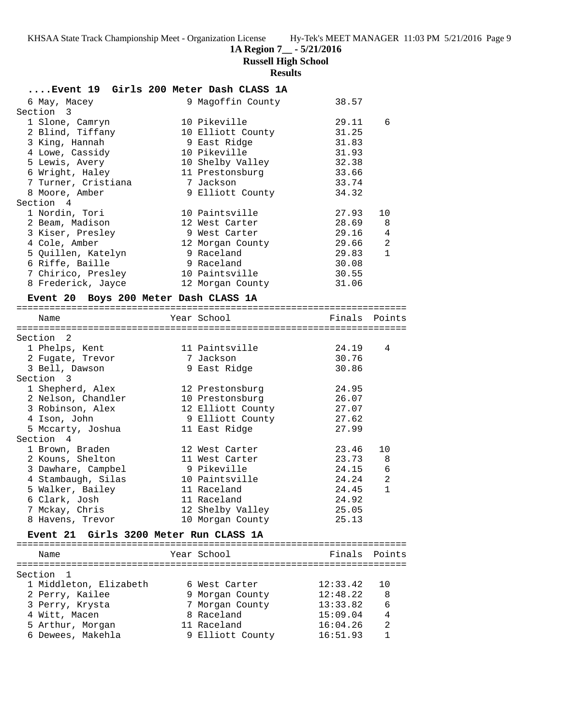# **1A Region 7\_\_ - 5/21/2016**

**Russell High School**

# **Results**

| 9 Magoffin County<br>38.57<br>6 Мау, Масеу<br>Section 3<br>1 Slone, Camryn<br>10 Pikeville<br>29.11<br>6<br>2 Blind, Tiffany<br>10 Elliott County<br>31.25<br>3 King, Hannah<br>31.83<br>9 East Ridge<br>10 Pikeville<br>31.93<br>4 Lowe, Cassidy<br>10 Shelby Valley<br>32.38<br>5 Lewis, Avery<br>11 Prestonsburg<br>33.66<br>6 Wright, Haley<br>7 Turner, Cristiana<br>7 Jackson<br>33.74<br>8 Moore, Amber<br>9 Elliott County<br>34.32<br>Section 4<br>1 Nordin, Tori<br>10 Paintsville<br>27.93<br>10<br>2 Beam, Madison<br>28.69<br>12 West Carter<br>8<br>3 Kiser, Presley<br>29.16<br>9 West Carter<br>4<br>4 Cole, Amber<br>29.66<br>2<br>12 Morgan County<br>5 Quillen, Katelyn<br>9 Raceland<br>29.83<br>$\mathbf{1}$<br>6 Riffe, Baille<br>9 Raceland<br>30.08<br>30.55<br>7 Chirico, Presley<br>10 Paintsville<br>8 Frederick, Jayce<br>31.06<br>12 Morgan County<br>Event 20 Boys 200 Meter Dash CLASS 1A<br>Year School<br>Finals Points<br>Name<br>Section 2<br>24.19<br>11 Paintsville<br>4<br>1 Phelps, Kent<br>7 Jackson<br>30.76<br>2 Fugate, Trevor<br>3 Bell, Dawson<br>9 East Ridge<br>30.86<br>Section 3<br>1 Shepherd, Alex<br>24.95<br>12 Prestonsburg<br>2 Nelson, Chandler<br>26.07<br>10 Prestonsburg<br>3 Robinson, Alex<br>12 Elliott County<br>27.07<br>4 Ison, John<br>9 Elliott County<br>27.62<br>5 Mccarty, Joshua<br>11 East Ridge<br>27.99<br>Section 4<br>1 Brown, Braden<br>23.46<br>12 West Carter<br>10<br>2 Kouns, Shelton<br>23.73<br>11 West Carter<br>8<br>24.15<br>3 Dawhare, Campbel<br>9 Pikeville<br>6<br>10 Paintsville<br>2<br>4 Stambaugh, Silas<br>24.24<br>$\mathbf{1}$<br>5 Walker, Bailey<br>24.45<br>11 Raceland<br>24.92<br>6 Clark, Josh<br>11 Raceland<br>7 Mckay, Chris<br>12 Shelby Valley<br>25.05<br>8 Havens, Trevor<br>25.13<br>10 Morgan County<br>Event 21 Girls 3200 Meter Run CLASS 1A<br>Year School<br>Finals Points<br>Name<br>Section<br>$\mathbf{1}$<br>1 Middleton, Elizabeth<br>12:33.42<br>6 West Carter<br>10<br>12:48.22<br>2 Perry, Kailee<br>9 Morgan County<br>8<br>6<br>3 Perry, Krysta<br>7 Morgan County<br>13:33.82<br>8 Raceland<br>15:09.04<br>4<br>4 Witt, Macen<br>2<br>5 Arthur, Morgan<br>11 Raceland<br>16:04.26<br>6 Dewees, Makehla<br>9 Elliott County<br>1 | Event 19 Girls 200 Meter Dash CLASS 1A |  |          |  |
|----------------------------------------------------------------------------------------------------------------------------------------------------------------------------------------------------------------------------------------------------------------------------------------------------------------------------------------------------------------------------------------------------------------------------------------------------------------------------------------------------------------------------------------------------------------------------------------------------------------------------------------------------------------------------------------------------------------------------------------------------------------------------------------------------------------------------------------------------------------------------------------------------------------------------------------------------------------------------------------------------------------------------------------------------------------------------------------------------------------------------------------------------------------------------------------------------------------------------------------------------------------------------------------------------------------------------------------------------------------------------------------------------------------------------------------------------------------------------------------------------------------------------------------------------------------------------------------------------------------------------------------------------------------------------------------------------------------------------------------------------------------------------------------------------------------------------------------------------------------------------------------------------------------------------------------------------------------------------------------------------------------------------------------------------------------------------------------------------------------------------------------------------------------------------------------------------------------------------------------------------------------|----------------------------------------|--|----------|--|
|                                                                                                                                                                                                                                                                                                                                                                                                                                                                                                                                                                                                                                                                                                                                                                                                                                                                                                                                                                                                                                                                                                                                                                                                                                                                                                                                                                                                                                                                                                                                                                                                                                                                                                                                                                                                                                                                                                                                                                                                                                                                                                                                                                                                                                                                |                                        |  |          |  |
|                                                                                                                                                                                                                                                                                                                                                                                                                                                                                                                                                                                                                                                                                                                                                                                                                                                                                                                                                                                                                                                                                                                                                                                                                                                                                                                                                                                                                                                                                                                                                                                                                                                                                                                                                                                                                                                                                                                                                                                                                                                                                                                                                                                                                                                                |                                        |  |          |  |
|                                                                                                                                                                                                                                                                                                                                                                                                                                                                                                                                                                                                                                                                                                                                                                                                                                                                                                                                                                                                                                                                                                                                                                                                                                                                                                                                                                                                                                                                                                                                                                                                                                                                                                                                                                                                                                                                                                                                                                                                                                                                                                                                                                                                                                                                |                                        |  |          |  |
|                                                                                                                                                                                                                                                                                                                                                                                                                                                                                                                                                                                                                                                                                                                                                                                                                                                                                                                                                                                                                                                                                                                                                                                                                                                                                                                                                                                                                                                                                                                                                                                                                                                                                                                                                                                                                                                                                                                                                                                                                                                                                                                                                                                                                                                                |                                        |  |          |  |
|                                                                                                                                                                                                                                                                                                                                                                                                                                                                                                                                                                                                                                                                                                                                                                                                                                                                                                                                                                                                                                                                                                                                                                                                                                                                                                                                                                                                                                                                                                                                                                                                                                                                                                                                                                                                                                                                                                                                                                                                                                                                                                                                                                                                                                                                |                                        |  |          |  |
|                                                                                                                                                                                                                                                                                                                                                                                                                                                                                                                                                                                                                                                                                                                                                                                                                                                                                                                                                                                                                                                                                                                                                                                                                                                                                                                                                                                                                                                                                                                                                                                                                                                                                                                                                                                                                                                                                                                                                                                                                                                                                                                                                                                                                                                                |                                        |  |          |  |
|                                                                                                                                                                                                                                                                                                                                                                                                                                                                                                                                                                                                                                                                                                                                                                                                                                                                                                                                                                                                                                                                                                                                                                                                                                                                                                                                                                                                                                                                                                                                                                                                                                                                                                                                                                                                                                                                                                                                                                                                                                                                                                                                                                                                                                                                |                                        |  |          |  |
|                                                                                                                                                                                                                                                                                                                                                                                                                                                                                                                                                                                                                                                                                                                                                                                                                                                                                                                                                                                                                                                                                                                                                                                                                                                                                                                                                                                                                                                                                                                                                                                                                                                                                                                                                                                                                                                                                                                                                                                                                                                                                                                                                                                                                                                                |                                        |  |          |  |
|                                                                                                                                                                                                                                                                                                                                                                                                                                                                                                                                                                                                                                                                                                                                                                                                                                                                                                                                                                                                                                                                                                                                                                                                                                                                                                                                                                                                                                                                                                                                                                                                                                                                                                                                                                                                                                                                                                                                                                                                                                                                                                                                                                                                                                                                |                                        |  |          |  |
|                                                                                                                                                                                                                                                                                                                                                                                                                                                                                                                                                                                                                                                                                                                                                                                                                                                                                                                                                                                                                                                                                                                                                                                                                                                                                                                                                                                                                                                                                                                                                                                                                                                                                                                                                                                                                                                                                                                                                                                                                                                                                                                                                                                                                                                                |                                        |  |          |  |
|                                                                                                                                                                                                                                                                                                                                                                                                                                                                                                                                                                                                                                                                                                                                                                                                                                                                                                                                                                                                                                                                                                                                                                                                                                                                                                                                                                                                                                                                                                                                                                                                                                                                                                                                                                                                                                                                                                                                                                                                                                                                                                                                                                                                                                                                |                                        |  |          |  |
|                                                                                                                                                                                                                                                                                                                                                                                                                                                                                                                                                                                                                                                                                                                                                                                                                                                                                                                                                                                                                                                                                                                                                                                                                                                                                                                                                                                                                                                                                                                                                                                                                                                                                                                                                                                                                                                                                                                                                                                                                                                                                                                                                                                                                                                                |                                        |  |          |  |
|                                                                                                                                                                                                                                                                                                                                                                                                                                                                                                                                                                                                                                                                                                                                                                                                                                                                                                                                                                                                                                                                                                                                                                                                                                                                                                                                                                                                                                                                                                                                                                                                                                                                                                                                                                                                                                                                                                                                                                                                                                                                                                                                                                                                                                                                |                                        |  |          |  |
|                                                                                                                                                                                                                                                                                                                                                                                                                                                                                                                                                                                                                                                                                                                                                                                                                                                                                                                                                                                                                                                                                                                                                                                                                                                                                                                                                                                                                                                                                                                                                                                                                                                                                                                                                                                                                                                                                                                                                                                                                                                                                                                                                                                                                                                                |                                        |  |          |  |
|                                                                                                                                                                                                                                                                                                                                                                                                                                                                                                                                                                                                                                                                                                                                                                                                                                                                                                                                                                                                                                                                                                                                                                                                                                                                                                                                                                                                                                                                                                                                                                                                                                                                                                                                                                                                                                                                                                                                                                                                                                                                                                                                                                                                                                                                |                                        |  |          |  |
|                                                                                                                                                                                                                                                                                                                                                                                                                                                                                                                                                                                                                                                                                                                                                                                                                                                                                                                                                                                                                                                                                                                                                                                                                                                                                                                                                                                                                                                                                                                                                                                                                                                                                                                                                                                                                                                                                                                                                                                                                                                                                                                                                                                                                                                                |                                        |  |          |  |
|                                                                                                                                                                                                                                                                                                                                                                                                                                                                                                                                                                                                                                                                                                                                                                                                                                                                                                                                                                                                                                                                                                                                                                                                                                                                                                                                                                                                                                                                                                                                                                                                                                                                                                                                                                                                                                                                                                                                                                                                                                                                                                                                                                                                                                                                |                                        |  |          |  |
|                                                                                                                                                                                                                                                                                                                                                                                                                                                                                                                                                                                                                                                                                                                                                                                                                                                                                                                                                                                                                                                                                                                                                                                                                                                                                                                                                                                                                                                                                                                                                                                                                                                                                                                                                                                                                                                                                                                                                                                                                                                                                                                                                                                                                                                                |                                        |  |          |  |
|                                                                                                                                                                                                                                                                                                                                                                                                                                                                                                                                                                                                                                                                                                                                                                                                                                                                                                                                                                                                                                                                                                                                                                                                                                                                                                                                                                                                                                                                                                                                                                                                                                                                                                                                                                                                                                                                                                                                                                                                                                                                                                                                                                                                                                                                |                                        |  |          |  |
|                                                                                                                                                                                                                                                                                                                                                                                                                                                                                                                                                                                                                                                                                                                                                                                                                                                                                                                                                                                                                                                                                                                                                                                                                                                                                                                                                                                                                                                                                                                                                                                                                                                                                                                                                                                                                                                                                                                                                                                                                                                                                                                                                                                                                                                                |                                        |  |          |  |
|                                                                                                                                                                                                                                                                                                                                                                                                                                                                                                                                                                                                                                                                                                                                                                                                                                                                                                                                                                                                                                                                                                                                                                                                                                                                                                                                                                                                                                                                                                                                                                                                                                                                                                                                                                                                                                                                                                                                                                                                                                                                                                                                                                                                                                                                |                                        |  |          |  |
|                                                                                                                                                                                                                                                                                                                                                                                                                                                                                                                                                                                                                                                                                                                                                                                                                                                                                                                                                                                                                                                                                                                                                                                                                                                                                                                                                                                                                                                                                                                                                                                                                                                                                                                                                                                                                                                                                                                                                                                                                                                                                                                                                                                                                                                                |                                        |  |          |  |
|                                                                                                                                                                                                                                                                                                                                                                                                                                                                                                                                                                                                                                                                                                                                                                                                                                                                                                                                                                                                                                                                                                                                                                                                                                                                                                                                                                                                                                                                                                                                                                                                                                                                                                                                                                                                                                                                                                                                                                                                                                                                                                                                                                                                                                                                |                                        |  |          |  |
|                                                                                                                                                                                                                                                                                                                                                                                                                                                                                                                                                                                                                                                                                                                                                                                                                                                                                                                                                                                                                                                                                                                                                                                                                                                                                                                                                                                                                                                                                                                                                                                                                                                                                                                                                                                                                                                                                                                                                                                                                                                                                                                                                                                                                                                                |                                        |  |          |  |
|                                                                                                                                                                                                                                                                                                                                                                                                                                                                                                                                                                                                                                                                                                                                                                                                                                                                                                                                                                                                                                                                                                                                                                                                                                                                                                                                                                                                                                                                                                                                                                                                                                                                                                                                                                                                                                                                                                                                                                                                                                                                                                                                                                                                                                                                |                                        |  |          |  |
|                                                                                                                                                                                                                                                                                                                                                                                                                                                                                                                                                                                                                                                                                                                                                                                                                                                                                                                                                                                                                                                                                                                                                                                                                                                                                                                                                                                                                                                                                                                                                                                                                                                                                                                                                                                                                                                                                                                                                                                                                                                                                                                                                                                                                                                                |                                        |  |          |  |
|                                                                                                                                                                                                                                                                                                                                                                                                                                                                                                                                                                                                                                                                                                                                                                                                                                                                                                                                                                                                                                                                                                                                                                                                                                                                                                                                                                                                                                                                                                                                                                                                                                                                                                                                                                                                                                                                                                                                                                                                                                                                                                                                                                                                                                                                |                                        |  |          |  |
|                                                                                                                                                                                                                                                                                                                                                                                                                                                                                                                                                                                                                                                                                                                                                                                                                                                                                                                                                                                                                                                                                                                                                                                                                                                                                                                                                                                                                                                                                                                                                                                                                                                                                                                                                                                                                                                                                                                                                                                                                                                                                                                                                                                                                                                                |                                        |  |          |  |
|                                                                                                                                                                                                                                                                                                                                                                                                                                                                                                                                                                                                                                                                                                                                                                                                                                                                                                                                                                                                                                                                                                                                                                                                                                                                                                                                                                                                                                                                                                                                                                                                                                                                                                                                                                                                                                                                                                                                                                                                                                                                                                                                                                                                                                                                |                                        |  |          |  |
|                                                                                                                                                                                                                                                                                                                                                                                                                                                                                                                                                                                                                                                                                                                                                                                                                                                                                                                                                                                                                                                                                                                                                                                                                                                                                                                                                                                                                                                                                                                                                                                                                                                                                                                                                                                                                                                                                                                                                                                                                                                                                                                                                                                                                                                                |                                        |  |          |  |
|                                                                                                                                                                                                                                                                                                                                                                                                                                                                                                                                                                                                                                                                                                                                                                                                                                                                                                                                                                                                                                                                                                                                                                                                                                                                                                                                                                                                                                                                                                                                                                                                                                                                                                                                                                                                                                                                                                                                                                                                                                                                                                                                                                                                                                                                |                                        |  |          |  |
|                                                                                                                                                                                                                                                                                                                                                                                                                                                                                                                                                                                                                                                                                                                                                                                                                                                                                                                                                                                                                                                                                                                                                                                                                                                                                                                                                                                                                                                                                                                                                                                                                                                                                                                                                                                                                                                                                                                                                                                                                                                                                                                                                                                                                                                                |                                        |  |          |  |
|                                                                                                                                                                                                                                                                                                                                                                                                                                                                                                                                                                                                                                                                                                                                                                                                                                                                                                                                                                                                                                                                                                                                                                                                                                                                                                                                                                                                                                                                                                                                                                                                                                                                                                                                                                                                                                                                                                                                                                                                                                                                                                                                                                                                                                                                |                                        |  |          |  |
|                                                                                                                                                                                                                                                                                                                                                                                                                                                                                                                                                                                                                                                                                                                                                                                                                                                                                                                                                                                                                                                                                                                                                                                                                                                                                                                                                                                                                                                                                                                                                                                                                                                                                                                                                                                                                                                                                                                                                                                                                                                                                                                                                                                                                                                                |                                        |  |          |  |
|                                                                                                                                                                                                                                                                                                                                                                                                                                                                                                                                                                                                                                                                                                                                                                                                                                                                                                                                                                                                                                                                                                                                                                                                                                                                                                                                                                                                                                                                                                                                                                                                                                                                                                                                                                                                                                                                                                                                                                                                                                                                                                                                                                                                                                                                |                                        |  |          |  |
|                                                                                                                                                                                                                                                                                                                                                                                                                                                                                                                                                                                                                                                                                                                                                                                                                                                                                                                                                                                                                                                                                                                                                                                                                                                                                                                                                                                                                                                                                                                                                                                                                                                                                                                                                                                                                                                                                                                                                                                                                                                                                                                                                                                                                                                                |                                        |  |          |  |
|                                                                                                                                                                                                                                                                                                                                                                                                                                                                                                                                                                                                                                                                                                                                                                                                                                                                                                                                                                                                                                                                                                                                                                                                                                                                                                                                                                                                                                                                                                                                                                                                                                                                                                                                                                                                                                                                                                                                                                                                                                                                                                                                                                                                                                                                |                                        |  |          |  |
|                                                                                                                                                                                                                                                                                                                                                                                                                                                                                                                                                                                                                                                                                                                                                                                                                                                                                                                                                                                                                                                                                                                                                                                                                                                                                                                                                                                                                                                                                                                                                                                                                                                                                                                                                                                                                                                                                                                                                                                                                                                                                                                                                                                                                                                                |                                        |  |          |  |
|                                                                                                                                                                                                                                                                                                                                                                                                                                                                                                                                                                                                                                                                                                                                                                                                                                                                                                                                                                                                                                                                                                                                                                                                                                                                                                                                                                                                                                                                                                                                                                                                                                                                                                                                                                                                                                                                                                                                                                                                                                                                                                                                                                                                                                                                |                                        |  |          |  |
|                                                                                                                                                                                                                                                                                                                                                                                                                                                                                                                                                                                                                                                                                                                                                                                                                                                                                                                                                                                                                                                                                                                                                                                                                                                                                                                                                                                                                                                                                                                                                                                                                                                                                                                                                                                                                                                                                                                                                                                                                                                                                                                                                                                                                                                                |                                        |  |          |  |
|                                                                                                                                                                                                                                                                                                                                                                                                                                                                                                                                                                                                                                                                                                                                                                                                                                                                                                                                                                                                                                                                                                                                                                                                                                                                                                                                                                                                                                                                                                                                                                                                                                                                                                                                                                                                                                                                                                                                                                                                                                                                                                                                                                                                                                                                |                                        |  |          |  |
|                                                                                                                                                                                                                                                                                                                                                                                                                                                                                                                                                                                                                                                                                                                                                                                                                                                                                                                                                                                                                                                                                                                                                                                                                                                                                                                                                                                                                                                                                                                                                                                                                                                                                                                                                                                                                                                                                                                                                                                                                                                                                                                                                                                                                                                                |                                        |  |          |  |
|                                                                                                                                                                                                                                                                                                                                                                                                                                                                                                                                                                                                                                                                                                                                                                                                                                                                                                                                                                                                                                                                                                                                                                                                                                                                                                                                                                                                                                                                                                                                                                                                                                                                                                                                                                                                                                                                                                                                                                                                                                                                                                                                                                                                                                                                |                                        |  |          |  |
|                                                                                                                                                                                                                                                                                                                                                                                                                                                                                                                                                                                                                                                                                                                                                                                                                                                                                                                                                                                                                                                                                                                                                                                                                                                                                                                                                                                                                                                                                                                                                                                                                                                                                                                                                                                                                                                                                                                                                                                                                                                                                                                                                                                                                                                                |                                        |  |          |  |
|                                                                                                                                                                                                                                                                                                                                                                                                                                                                                                                                                                                                                                                                                                                                                                                                                                                                                                                                                                                                                                                                                                                                                                                                                                                                                                                                                                                                                                                                                                                                                                                                                                                                                                                                                                                                                                                                                                                                                                                                                                                                                                                                                                                                                                                                |                                        |  |          |  |
|                                                                                                                                                                                                                                                                                                                                                                                                                                                                                                                                                                                                                                                                                                                                                                                                                                                                                                                                                                                                                                                                                                                                                                                                                                                                                                                                                                                                                                                                                                                                                                                                                                                                                                                                                                                                                                                                                                                                                                                                                                                                                                                                                                                                                                                                |                                        |  |          |  |
|                                                                                                                                                                                                                                                                                                                                                                                                                                                                                                                                                                                                                                                                                                                                                                                                                                                                                                                                                                                                                                                                                                                                                                                                                                                                                                                                                                                                                                                                                                                                                                                                                                                                                                                                                                                                                                                                                                                                                                                                                                                                                                                                                                                                                                                                |                                        |  |          |  |
|                                                                                                                                                                                                                                                                                                                                                                                                                                                                                                                                                                                                                                                                                                                                                                                                                                                                                                                                                                                                                                                                                                                                                                                                                                                                                                                                                                                                                                                                                                                                                                                                                                                                                                                                                                                                                                                                                                                                                                                                                                                                                                                                                                                                                                                                |                                        |  |          |  |
|                                                                                                                                                                                                                                                                                                                                                                                                                                                                                                                                                                                                                                                                                                                                                                                                                                                                                                                                                                                                                                                                                                                                                                                                                                                                                                                                                                                                                                                                                                                                                                                                                                                                                                                                                                                                                                                                                                                                                                                                                                                                                                                                                                                                                                                                |                                        |  |          |  |
|                                                                                                                                                                                                                                                                                                                                                                                                                                                                                                                                                                                                                                                                                                                                                                                                                                                                                                                                                                                                                                                                                                                                                                                                                                                                                                                                                                                                                                                                                                                                                                                                                                                                                                                                                                                                                                                                                                                                                                                                                                                                                                                                                                                                                                                                |                                        |  |          |  |
|                                                                                                                                                                                                                                                                                                                                                                                                                                                                                                                                                                                                                                                                                                                                                                                                                                                                                                                                                                                                                                                                                                                                                                                                                                                                                                                                                                                                                                                                                                                                                                                                                                                                                                                                                                                                                                                                                                                                                                                                                                                                                                                                                                                                                                                                |                                        |  | 16:51.93 |  |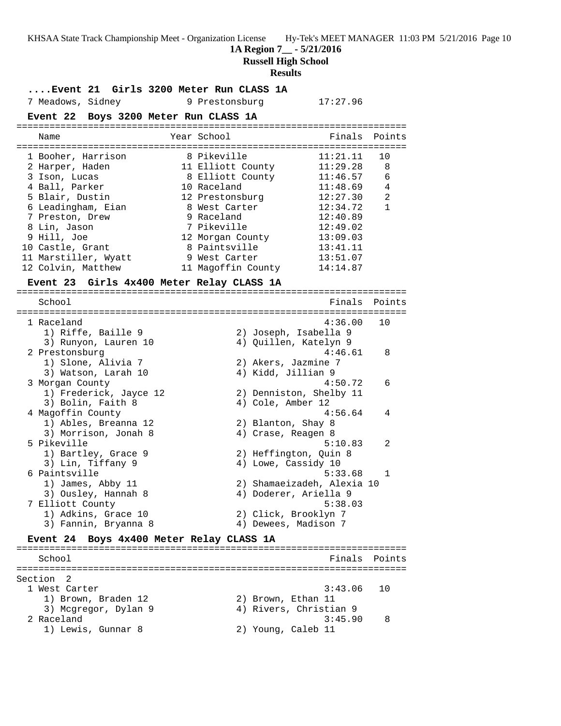**1A Region 7\_\_ - 5/21/2016**

**Russell High School**

#### **Results**

**....Event 21 Girls 3200 Meter Run CLASS 1A** 7 Meadows, Sidney 9 Prestonsburg 17:27.96 **Event 22 Boys 3200 Meter Run CLASS 1A** ======================================================================= Name The Year School The Finals Points ======================================================================= 1 Booher, Harrison 8 Pikeville 11:21.11 10 2 Harper, Haden 11 Elliott County 11:29.28 8 3 Ison, Lucas 8 Elliott County 11:46.57 6 4 Ball, Parker 10 Raceland 11:48.69 4 5 Blair, Dustin 12 Prestonsburg 12:27.30 2 6 Leadingham, Eian 8 West Carter 12:34.72 1 7 Preston, Drew 9 Raceland 12:40.89 8 Lin, Jason 7 Pikeville 12:49.02 9 Hill, Joe 12 Morgan County 13:09.03 10 Castle, Grant 8 Paintsville 13:41.11 11 Marstiller, Wyatt 9 West Carter 13:51.07 12 Colvin, Matthew 11 Magoffin County 14:14.87 **Event 23 Girls 4x400 Meter Relay CLASS 1A** ======================================================================= School Finals Points ======================================================================= 1 Raceland 4:36.00 10 1) Riffe, Baille 9 2) Joseph, Isabella 9 3) Runyon, Lauren 10 4) Quillen, Katelyn 9 2 Prestonsburg 4:46.61 8 1) Slone, Alivia 7 2) Akers, Jazmine 7 3) Watson, Larah 10  $\qquad \qquad$  4) Kidd, Jillian 9 3 Morgan County 4:50.72 6 1) Frederick, Jayce 12 2) Denniston, Shelby 11 3) Bolin, Faith 8 4) Cole, Amber 12 4 Magoffin County 4:56.64 4 1) Ables, Breanna 12 2) Blanton, Shay 8 3) Morrison, Jonah 8 (4) 2018, Reagen 8 5 Pikeville 5:10.83 2 1) Bartley, Grace 9 2) Heffington, Quin 8 3) Lin, Tiffany 9 (4) Lowe, Cassidy 10 6 Paintsville 5:33.68 1 1) James, Abby 11 2) Shamaeizadeh, Alexia 10 3) Ousley, Hannah 8 4) Doderer, Ariella 9 7 Elliott County 5:38.03 1) Adkins, Grace 10 2) Click, Brooklyn 7 3) Fannin, Bryanna 8  $\hskip1cm \hskip 4.5 cm 4$ ) Dewees, Madison 7 **Event 24 Boys 4x400 Meter Relay CLASS 1A** ======================================================================= School Finals Points ======================================================================= Section 2<br>1 West Carter 1 West Carter 3:43.06 10 1) Brown, Braden 12 2) Brown, Ethan 11

3) Mcgregor, Dylan 9 4) Rivers, Christian 9

 2 Raceland 3:45.90 8 1) Lewis, Gunnar 8 2) Young, Caleb 11